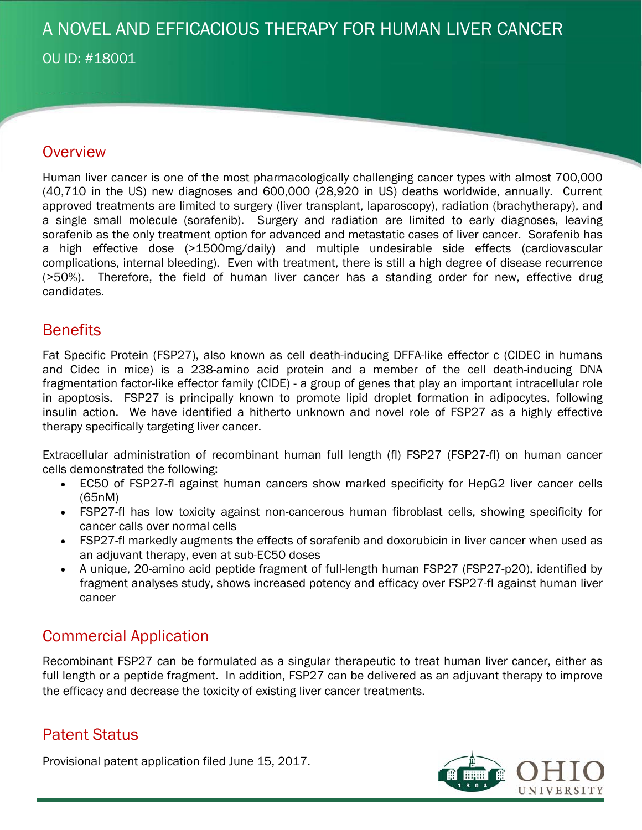# A NOVEL AND EFFICACIOUS THERAPY FOR HUMAN LIVER CANCER

OU ID: #18001

### **Overview**

Human liver cancer is one of the most pharmacologically challenging cancer types with almost 700,000 (40,710 in the US) new diagnoses and 600,000 (28,920 in US) deaths worldwide, annually. Current approved treatments are limited to surgery (liver transplant, laparoscopy), radiation (brachytherapy), and a single small molecule (sorafenib). Surgery and radiation are limited to early diagnoses, leaving sorafenib as the only treatment option for advanced and metastatic cases of liver cancer. Sorafenib has a high effective dose (>1500mg/daily) and multiple undesirable side effects (cardiovascular complications, internal bleeding). Even with treatment, there is still a high degree of disease recurrence (>50%). Therefore, the field of human liver cancer has a standing order for new, effective drug candidates.

## **Benefits**

Fat Specific Protein (FSP27), also known as cell death-inducing DFFA-like effector c (CIDEC in humans and Cidec in mice) is a 238-amino acid protein and a member of the cell death-inducing DNA fragmentation factor-like effector family (CIDE) - a group of genes that play an important intracellular role in apoptosis. FSP27 is principally known to promote lipid droplet formation in adipocytes, following insulin action. We have identified a hitherto unknown and novel role of FSP27 as a highly effective therapy specifically targeting liver cancer.

Extracellular administration of recombinant human full length (fl) FSP27 (FSP27-fl) on human cancer cells demonstrated the following:

- EC50 of FSP27-fl against human cancers show marked specificity for HepG2 liver cancer cells (65nM)
- FSP27-fl has low toxicity against non-cancerous human fibroblast cells, showing specificity for cancer calls over normal cells
- FSP27-fl markedly augments the effects of sorafenib and doxorubicin in liver cancer when used as an adjuvant therapy, even at sub-EC50 doses
- A unique, 20-amino acid peptide fragment of full-length human FSP27 (FSP27-p20), identified by fragment analyses study, shows increased potency and efficacy over FSP27-fl against human liver cancer

# Commercial Application

Recombinant FSP27 can be formulated as a singular therapeutic to treat human liver cancer, either as full length or a peptide fragment. In addition, FSP27 can be delivered as an adjuvant therapy to improve the efficacy and decrease the toxicity of existing liver cancer treatments.

# Patent Status

Provisional patent application filed June 15, 2017.

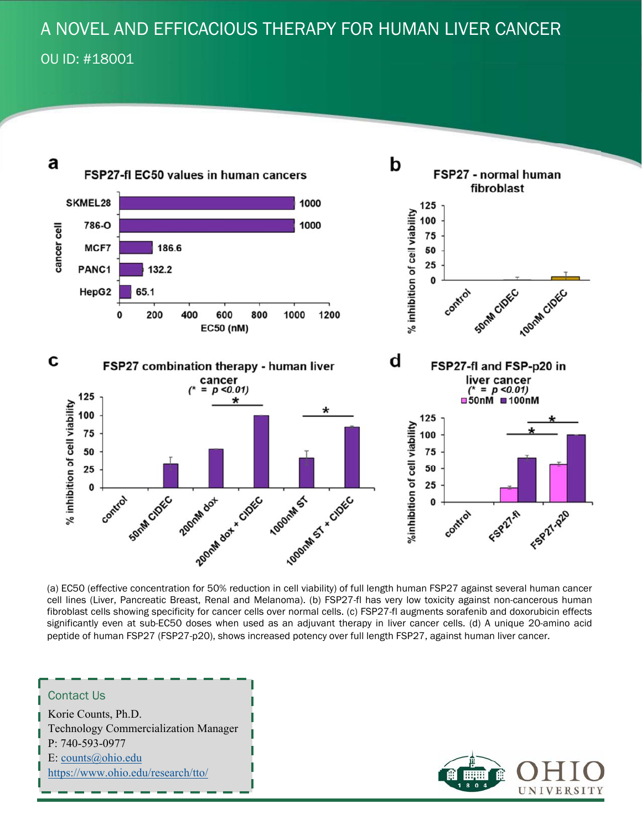# A NOVEL AND EFFICACIOUS THERAPY FOR HUMAN LIVER CANCER

OU ID: #18001



(a) EC50 (effective concentration for 50% reduction in cell viability) of full length human FSP27 against several human cancer cell lines (Liver, Pancreatic Breast, Renal and Melanoma). (b) FSP27-fl has very low toxicity against non-cancerous human fibroblast cells showing specificity for cancer cells over normal cells. (c) FSP27-fl augments sorafenib and doxorubicin effects significantly even at sub-EC50 doses when used as an adjuvant therapy in liver cancer cells. (d) A unique 20-amino acid peptide of human FSP27 (FSP27-p20), shows increased potency over full length FSP27, against human liver cancer.

#### Contact Us Korie Counts, Ph.D. Technology Commercialization Manager P: 740-593-0977 E: counts@ohio.edu https://www.ohio.edu/research/tto/